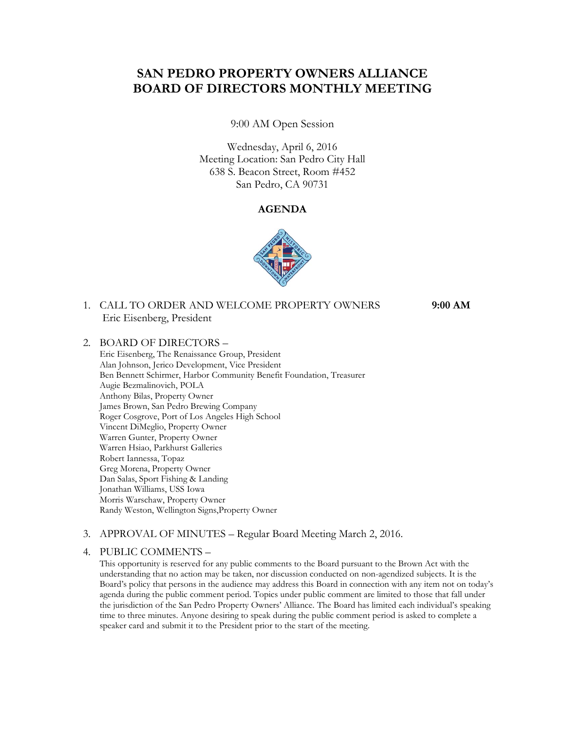# **SAN PEDRO PROPERTY OWNERS ALLIANCE BOARD OF DIRECTORS MONTHLY MEETING**

9:00 AM Open Session

Wednesday, April 6, 2016 Meeting Location: San Pedro City Hall 638 S. Beacon Street, Room #452 San Pedro, CA 90731

### **AGENDA**



## 1. CALL TO ORDER AND WELCOME PROPERTY OWNERS **9:00 AM** Eric Eisenberg, President

#### 2. BOARD OF DIRECTORS –

Eric Eisenberg, The Renaissance Group, President Alan Johnson, Jerico Development, Vice President Ben Bennett Schirmer, Harbor Community Benefit Foundation, Treasurer Augie Bezmalinovich, POLA Anthony Bilas, Property Owner James Brown, San Pedro Brewing Company Roger Cosgrove, Port of Los Angeles High School Vincent DiMeglio, Property Owner Warren Gunter, Property Owner Warren Hsiao, Parkhurst Galleries Robert Iannessa, Topaz Greg Morena, Property Owner Dan Salas, Sport Fishing & Landing Jonathan Williams, USS Iowa Morris Warschaw, Property Owner Randy Weston, Wellington Signs,Property Owner

#### 3. APPROVAL OF MINUTES – Regular Board Meeting March 2, 2016.

#### 4. PUBLIC COMMENTS –

This opportunity is reserved for any public comments to the Board pursuant to the Brown Act with the understanding that no action may be taken, nor discussion conducted on non-agendized subjects. It is the Board's policy that persons in the audience may address this Board in connection with any item not on today's agenda during the public comment period. Topics under public comment are limited to those that fall under the jurisdiction of the San Pedro Property Owners' Alliance. The Board has limited each individual's speaking time to three minutes. Anyone desiring to speak during the public comment period is asked to complete a speaker card and submit it to the President prior to the start of the meeting.